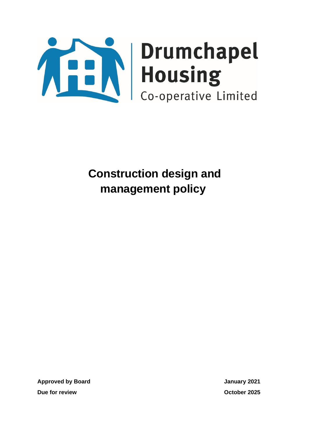

**Approved by Board January 2021 Due for review October 2025**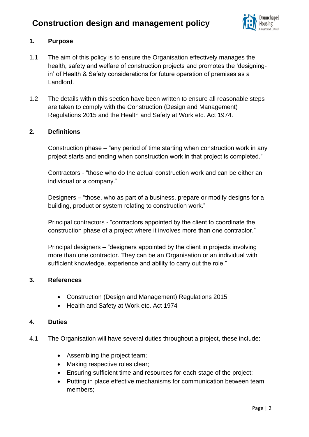

## **1. Purpose**

- 1.1 The aim of this policy is to ensure the Organisation effectively manages the health, safety and welfare of construction projects and promotes the 'designingin' of Health & Safety considerations for future operation of premises as a Landlord.
- 1.2 The details within this section have been written to ensure all reasonable steps are taken to comply with the Construction (Design and Management) Regulations 2015 and the Health and Safety at Work etc. Act 1974.

### **2. Definitions**

Construction phase – "any period of time starting when construction work in any project starts and ending when construction work in that project is completed."

Contractors - "those who do the actual construction work and can be either an individual or a company."

Designers – "those, who as part of a business, prepare or modify designs for a building, product or system relating to construction work."

Principal contractors - "contractors appointed by the client to coordinate the construction phase of a project where it involves more than one contractor."

Principal designers – "designers appointed by the client in projects involving more than one contractor. They can be an Organisation or an individual with sufficient knowledge, experience and ability to carry out the role."

#### **3. References**

- Construction (Design and Management) Regulations 2015
- Health and Safety at Work etc. Act 1974

### **4. Duties**

- 4.1 The Organisation will have several duties throughout a project, these include:
	- Assembling the project team;
	- Making respective roles clear;
	- Ensuring sufficient time and resources for each stage of the project;
	- Putting in place effective mechanisms for communication between team members;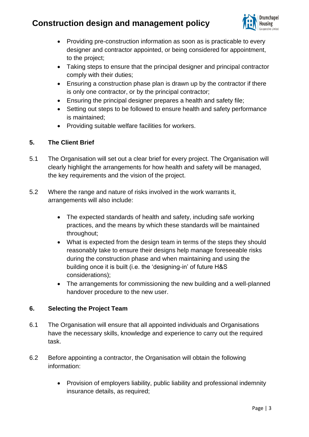

- Providing pre-construction information as soon as is practicable to every designer and contractor appointed, or being considered for appointment, to the project;
- Taking steps to ensure that the principal designer and principal contractor comply with their duties;
- Ensuring a construction phase plan is drawn up by the contractor if there is only one contractor, or by the principal contractor;
- Ensuring the principal designer prepares a health and safety file;
- Setting out steps to be followed to ensure health and safety performance is maintained;
- Providing suitable welfare facilities for workers.

## **5. The Client Brief**

- 5.1 The Organisation will set out a clear brief for every project. The Organisation will clearly highlight the arrangements for how health and safety will be managed, the key requirements and the vision of the project.
- 5.2 Where the range and nature of risks involved in the work warrants it, arrangements will also include:
	- The expected standards of health and safety, including safe working practices, and the means by which these standards will be maintained throughout;
	- What is expected from the design team in terms of the steps they should reasonably take to ensure their designs help manage foreseeable risks during the construction phase and when maintaining and using the building once it is built (i.e. the 'designing-in' of future H&S considerations);
	- The arrangements for commissioning the new building and a well-planned handover procedure to the new user.

## **6. Selecting the Project Team**

- 6.1 The Organisation will ensure that all appointed individuals and Organisations have the necessary skills, knowledge and experience to carry out the required task.
- 6.2 Before appointing a contractor, the Organisation will obtain the following information:
	- Provision of employers liability, public liability and professional indemnity insurance details, as required;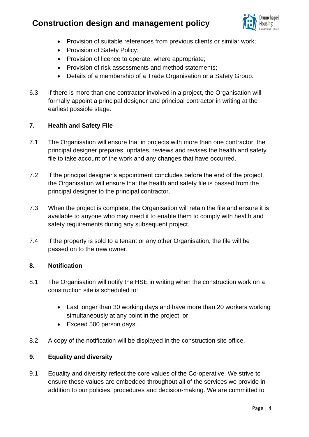

- Provision of suitable references from previous clients or similar work;
- Provision of Safety Policy:
- Provision of licence to operate, where appropriate;
- Provision of risk assessments and method statements;
- Details of a membership of a Trade Organisation or a Safety Group.
- 6.3 If there is more than one contractor involved in a project, the Organisation will formally appoint a principal designer and principal contractor in writing at the earliest possible stage.

## **7. Health and Safety File**

- 7.1 The Organisation will ensure that in projects with more than one contractor, the principal designer prepares, updates, reviews and revises the health and safety file to take account of the work and any changes that have occurred.
- 7.2 If the principal designer's appointment concludes before the end of the project, the Organisation will ensure that the health and safety file is passed from the principal designer to the principal contractor.
- 7.3 When the project is complete, the Organisation will retain the file and ensure it is available to anyone who may need it to enable them to comply with health and safety requirements during any subsequent project.
- 7.4 If the property is sold to a tenant or any other Organisation, the file will be passed on to the new owner.

### **8. Notification**

- 8.1 The Organisation will notify the HSE in writing when the construction work on a construction site is scheduled to:
	- Last longer than 30 working days and have more than 20 workers working simultaneously at any point in the project; or
	- Exceed 500 person days.
- 8.2 A copy of the notification will be displayed in the construction site office.

## **9. Equality and diversity**

9.1 Equality and diversity reflect the core values of the Co-operative. We strive to ensure these values are embedded throughout all of the services we provide in addition to our policies, procedures and decision-making. We are committed to